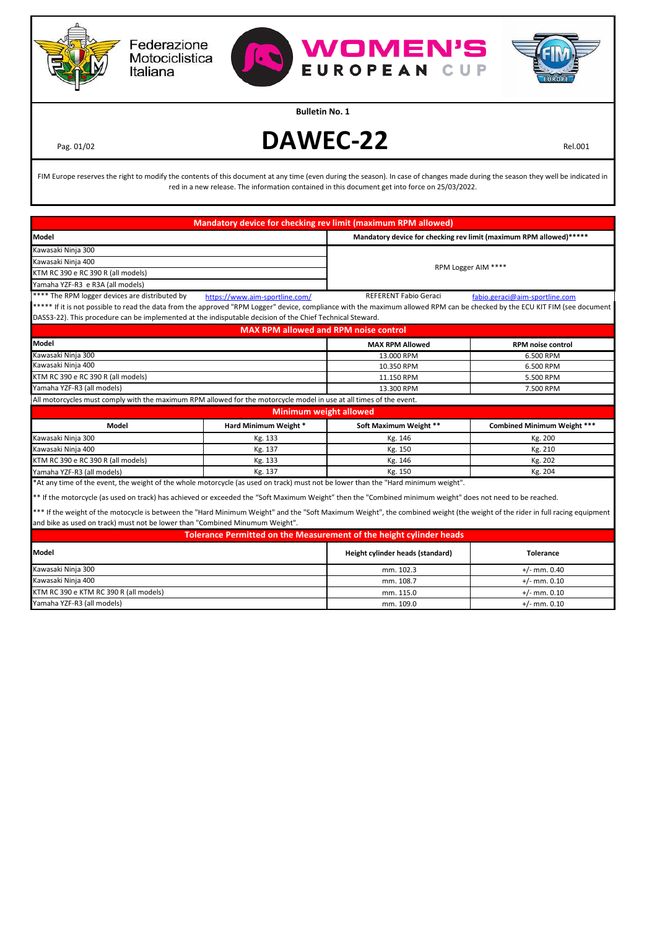

Federazione Motociclistica Italiana



mm. 115.0  $+/-$  mm. 0.10 mm. 109.0  $+/-$  mm. 0.10

**Bulletin No. 1**

KTM RC 390 e KTM RC 390 R (all models)

Yamaha YZF-R3 (all models)

Pag. 01/02 **DAWEC-22** Rel.001

FIM Europe reserves the right to modify the contents of this document at any time (even during the season). In case of changes made during the season they well be indicated in red in a new release. The information contained in this document get into force on 25/03/2022.

|                                                                                                                                                                                                                                                              |                                              | Mandatory device for checking rev limit (maximum RPM allowed)       |                                    |  |
|--------------------------------------------------------------------------------------------------------------------------------------------------------------------------------------------------------------------------------------------------------------|----------------------------------------------|---------------------------------------------------------------------|------------------------------------|--|
| <b>Model</b>                                                                                                                                                                                                                                                 |                                              | Mandatory device for checking rev limit (maximum RPM allowed)*****  |                                    |  |
| Kawasaki Ninja 300                                                                                                                                                                                                                                           |                                              |                                                                     |                                    |  |
| Kawasaki Ninja 400                                                                                                                                                                                                                                           |                                              | RPM Logger AIM ****                                                 |                                    |  |
| KTM RC 390 e RC 390 R (all models)                                                                                                                                                                                                                           |                                              |                                                                     |                                    |  |
| Yamaha YZF-R3 e R3A (all models)                                                                                                                                                                                                                             |                                              |                                                                     |                                    |  |
| **** The RPM logger devices are distributed by                                                                                                                                                                                                               | https://www.aim-sportline.com/               | <b>REFERENT Fabio Geraci</b>                                        | fabio.geraci@aim-sportline.com     |  |
| ***** If it is not possible to read the data from the approved "RPM Logger" device, compliance with the maximum allowed RPM can be checked by the ECU KIT FIM (see document                                                                                  |                                              |                                                                     |                                    |  |
| DASS3-22). This procedure can be implemented at the indisputable decision of the Chief Technical Steward.                                                                                                                                                    |                                              |                                                                     |                                    |  |
|                                                                                                                                                                                                                                                              | <b>MAX RPM allowed and RPM noise control</b> |                                                                     |                                    |  |
| <b>Model</b>                                                                                                                                                                                                                                                 |                                              | <b>MAX RPM Allowed</b>                                              | <b>RPM noise control</b>           |  |
| Kawasaki Ninja 300                                                                                                                                                                                                                                           |                                              | 13.000 RPM                                                          | 6.500 RPM                          |  |
| Kawasaki Ninja 400                                                                                                                                                                                                                                           |                                              | 10.350 RPM                                                          | 6.500 RPM                          |  |
| KTM RC 390 e RC 390 R (all models)                                                                                                                                                                                                                           |                                              | 11.150 RPM                                                          | 5.500 RPM                          |  |
| Yamaha YZF-R3 (all models)                                                                                                                                                                                                                                   |                                              | 13.300 RPM                                                          | 7.500 RPM                          |  |
| All motorcycles must comply with the maximum RPM allowed for the motorcycle model in use at all times of the event.                                                                                                                                          |                                              |                                                                     |                                    |  |
| <b>Minimum weight allowed</b>                                                                                                                                                                                                                                |                                              |                                                                     |                                    |  |
| <b>Model</b>                                                                                                                                                                                                                                                 | Hard Minimum Weight *                        | Soft Maximum Weight **                                              | <b>Combined Minimum Weight ***</b> |  |
| Kawasaki Ninja 300                                                                                                                                                                                                                                           | Kg. 133                                      | Kg. 146                                                             | Kg. 200                            |  |
| Kawasaki Ninja 400                                                                                                                                                                                                                                           | Kg. 137                                      | Kg. 150                                                             | Kg. 210                            |  |
| KTM RC 390 e RC 390 R (all models)                                                                                                                                                                                                                           | Kg. 133                                      | Kg. 146                                                             | Kg. 202                            |  |
| Yamaha YZF-R3 (all models)                                                                                                                                                                                                                                   | Kg. 137                                      | Kg. 150                                                             | Kg. 204                            |  |
| *At any time of the event, the weight of the whole motorcycle (as used on track) must not be lower than the "Hard minimum weight".                                                                                                                           |                                              |                                                                     |                                    |  |
| ** If the motorcycle (as used on track) has achieved or exceeded the "Soft Maximum Weight" then the "Combined minimum weight" does not need to be reached.                                                                                                   |                                              |                                                                     |                                    |  |
|                                                                                                                                                                                                                                                              |                                              |                                                                     |                                    |  |
| *** If the weight of the motocycle is between the "Hard Minimum Weight" and the "Soft Maximum Weight", the combined weight (the weight of the rider in full racing equipment<br>and bike as used on track) must not be lower than "Combined Minumum Weight". |                                              |                                                                     |                                    |  |
|                                                                                                                                                                                                                                                              |                                              | Tolerance Permitted on the Measurement of the height cylinder heads |                                    |  |
|                                                                                                                                                                                                                                                              |                                              |                                                                     |                                    |  |
| <b>Model</b>                                                                                                                                                                                                                                                 |                                              | Height cylinder heads (standard)                                    | <b>Tolerance</b>                   |  |
| Kawasaki Ninja 300                                                                                                                                                                                                                                           |                                              | mm. 102.3                                                           | $+/-$ mm. 0.40                     |  |
| Kawasaki Ninja 400                                                                                                                                                                                                                                           |                                              | mm. 108.7                                                           | $+/-$ mm, 0.10                     |  |